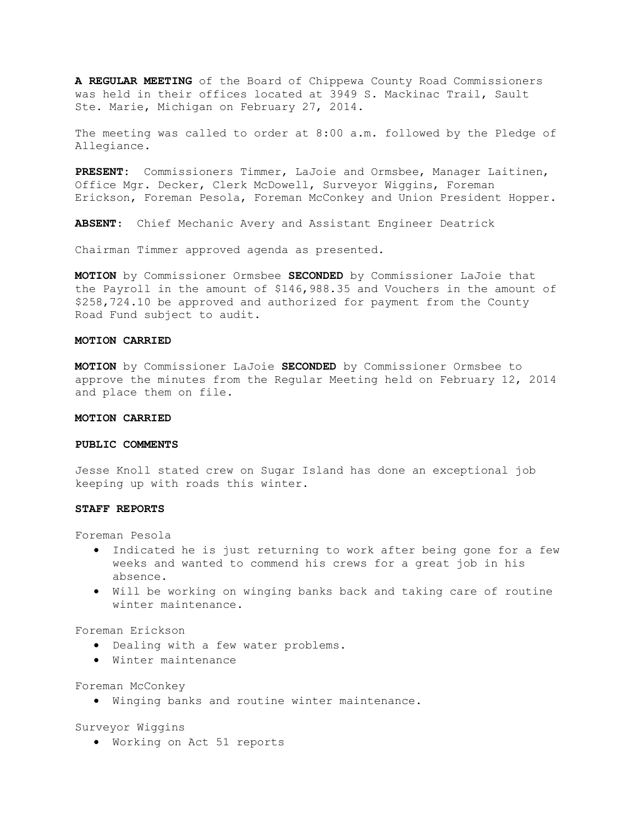**A REGULAR MEETING** of the Board of Chippewa County Road Commissioners was held in their offices located at 3949 S. Mackinac Trail, Sault Ste. Marie, Michigan on February 27, 2014.

The meeting was called to order at 8:00 a.m. followed by the Pledge of Allegiance.

**PRESENT:** Commissioners Timmer, LaJoie and Ormsbee, Manager Laitinen, Office Mgr. Decker, Clerk McDowell, Surveyor Wiggins, Foreman Erickson, Foreman Pesola, Foreman McConkey and Union President Hopper.

**ABSENT**: Chief Mechanic Avery and Assistant Engineer Deatrick

Chairman Timmer approved agenda as presented.

**MOTION** by Commissioner Ormsbee **SECONDED** by Commissioner LaJoie that the Payroll in the amount of \$146,988.35 and Vouchers in the amount of \$258,724.10 be approved and authorized for payment from the County Road Fund subject to audit.

# **MOTION CARRIED**

**MOTION** by Commissioner LaJoie **SECONDED** by Commissioner Ormsbee to approve the minutes from the Regular Meeting held on February 12, 2014 and place them on file.

# **MOTION CARRIED**

# **PUBLIC COMMENTS**

Jesse Knoll stated crew on Sugar Island has done an exceptional job keeping up with roads this winter.

### **STAFF REPORTS**

Foreman Pesola

- · Indicated he is just returning to work after being gone for a few weeks and wanted to commend his crews for a great job in his absence.
- · Will be working on winging banks back and taking care of routine winter maintenance.

Foreman Erickson

- · Dealing with a few water problems.
- · Winter maintenance

Foreman McConkey

· Winging banks and routine winter maintenance.

Surveyor Wiggins

· Working on Act 51 reports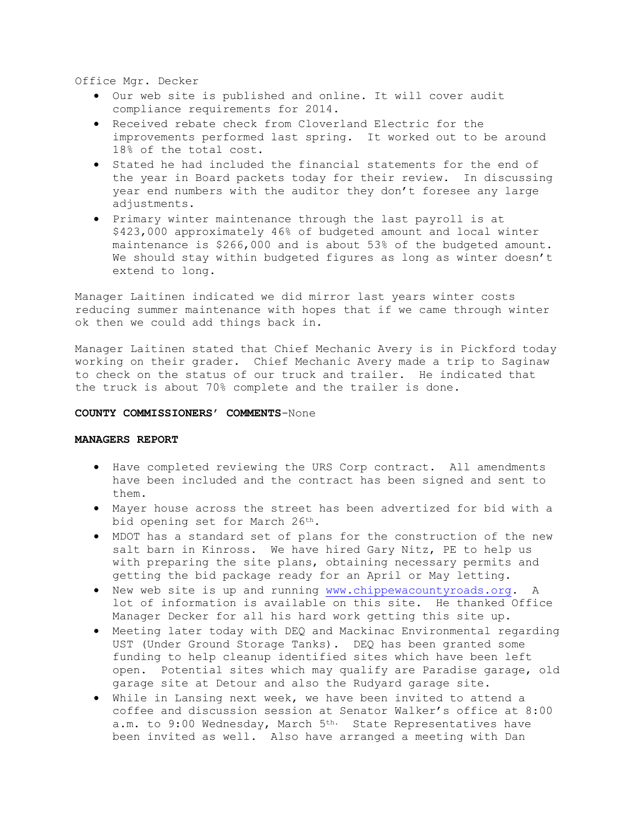Office Mgr. Decker

- · Our web site is published and online. It will cover audit compliance requirements for 2014.
- · Received rebate check from Cloverland Electric for the improvements performed last spring. It worked out to be around 18% of the total cost.
- · Stated he had included the financial statements for the end of the year in Board packets today for their review. In discussing year end numbers with the auditor they don't foresee any large adjustments.
- · Primary winter maintenance through the last payroll is at \$423,000 approximately 46% of budgeted amount and local winter maintenance is \$266,000 and is about 53% of the budgeted amount. We should stay within budgeted figures as long as winter doesn't extend to long.

Manager Laitinen indicated we did mirror last years winter costs reducing summer maintenance with hopes that if we came through winter ok then we could add things back in.

Manager Laitinen stated that Chief Mechanic Avery is in Pickford today working on their grader. Chief Mechanic Avery made a trip to Saginaw to check on the status of our truck and trailer. He indicated that the truck is about 70% complete and the trailer is done.

## **COUNTY COMMISSIONERS' COMMENTS**-None

#### **MANAGERS REPORT**

- · Have completed reviewing the URS Corp contract. All amendments have been included and the contract has been signed and sent to them.
- · Mayer house across the street has been advertized for bid with a bid opening set for March 26th.
- · MDOT has a standard set of plans for the construction of the new salt barn in Kinross. We have hired Gary Nitz, PE to help us with preparing the site plans, obtaining necessary permits and getting the bid package ready for an April or May letting.
- · New web site is up and running www.chippewacountyroads.org. A lot of information is available on this site. He thanked Office Manager Decker for all his hard work getting this site up.
- · Meeting later today with DEQ and Mackinac Environmental regarding UST (Under Ground Storage Tanks). DEQ has been granted some funding to help cleanup identified sites which have been left open. Potential sites which may qualify are Paradise garage, old garage site at Detour and also the Rudyard garage site.
- · While in Lansing next week, we have been invited to attend a coffee and discussion session at Senator Walker's office at 8:00 a.m. to 9:00 Wednesday, March 5th. State Representatives have been invited as well. Also have arranged a meeting with Dan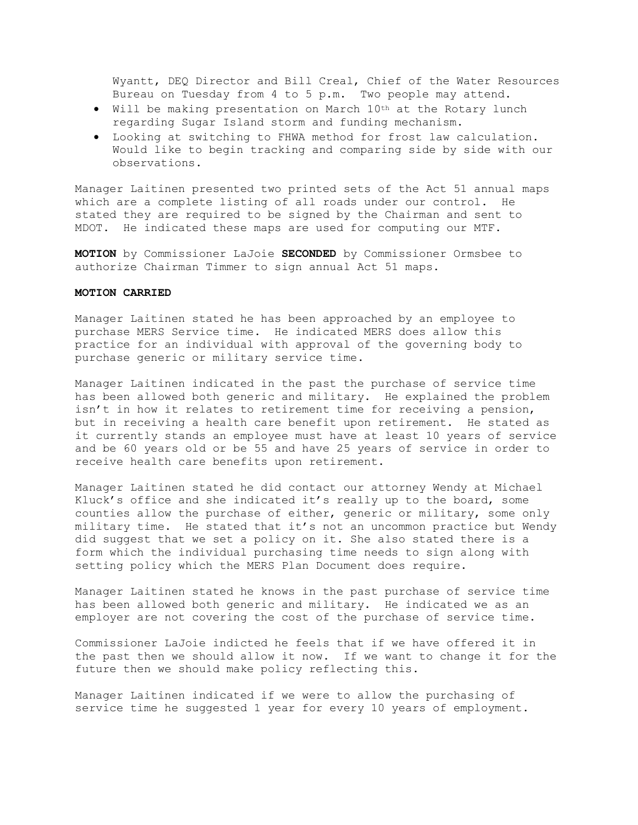Wyantt, DEQ Director and Bill Creal, Chief of the Water Resources Bureau on Tuesday from 4 to 5 p.m. Two people may attend.

- · Will be making presentation on March 10th at the Rotary lunch regarding Sugar Island storm and funding mechanism.
- · Looking at switching to FHWA method for frost law calculation. Would like to begin tracking and comparing side by side with our observations.

Manager Laitinen presented two printed sets of the Act 51 annual maps which are a complete listing of all roads under our control. He stated they are required to be signed by the Chairman and sent to MDOT. He indicated these maps are used for computing our MTF.

**MOTION** by Commissioner LaJoie **SECONDED** by Commissioner Ormsbee to authorize Chairman Timmer to sign annual Act 51 maps.

# **MOTION CARRIED**

Manager Laitinen stated he has been approached by an employee to purchase MERS Service time. He indicated MERS does allow this practice for an individual with approval of the governing body to purchase generic or military service time.

Manager Laitinen indicated in the past the purchase of service time has been allowed both generic and military. He explained the problem isn't in how it relates to retirement time for receiving a pension, but in receiving a health care benefit upon retirement. He stated as it currently stands an employee must have at least 10 years of service and be 60 years old or be 55 and have 25 years of service in order to receive health care benefits upon retirement.

Manager Laitinen stated he did contact our attorney Wendy at Michael Kluck's office and she indicated it's really up to the board, some counties allow the purchase of either, generic or military, some only military time. He stated that it's not an uncommon practice but Wendy did suggest that we set a policy on it. She also stated there is a form which the individual purchasing time needs to sign along with setting policy which the MERS Plan Document does require.

Manager Laitinen stated he knows in the past purchase of service time has been allowed both generic and military. He indicated we as an employer are not covering the cost of the purchase of service time.

Commissioner LaJoie indicted he feels that if we have offered it in the past then we should allow it now. If we want to change it for the future then we should make policy reflecting this.

Manager Laitinen indicated if we were to allow the purchasing of service time he suggested 1 year for every 10 years of employment.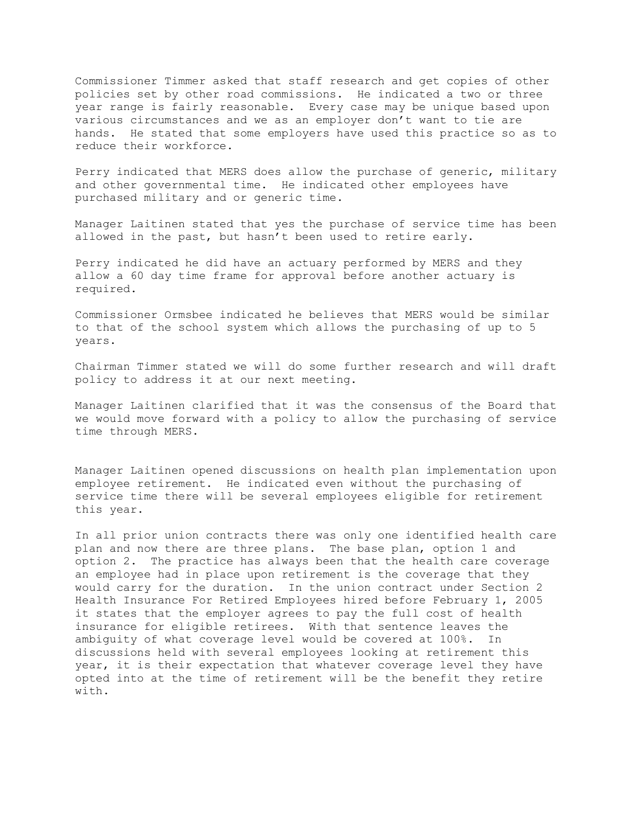Commissioner Timmer asked that staff research and get copies of other policies set by other road commissions. He indicated a two or three year range is fairly reasonable. Every case may be unique based upon various circumstances and we as an employer don't want to tie are hands. He stated that some employers have used this practice so as to reduce their workforce.

Perry indicated that MERS does allow the purchase of generic, military and other governmental time. He indicated other employees have purchased military and or generic time.

Manager Laitinen stated that yes the purchase of service time has been allowed in the past, but hasn't been used to retire early.

Perry indicated he did have an actuary performed by MERS and they allow a 60 day time frame for approval before another actuary is required.

Commissioner Ormsbee indicated he believes that MERS would be similar to that of the school system which allows the purchasing of up to 5 years.

Chairman Timmer stated we will do some further research and will draft policy to address it at our next meeting.

Manager Laitinen clarified that it was the consensus of the Board that we would move forward with a policy to allow the purchasing of service time through MERS.

Manager Laitinen opened discussions on health plan implementation upon employee retirement. He indicated even without the purchasing of service time there will be several employees eligible for retirement this year.

In all prior union contracts there was only one identified health care plan and now there are three plans. The base plan, option 1 and option 2. The practice has always been that the health care coverage an employee had in place upon retirement is the coverage that they would carry for the duration. In the union contract under Section 2 Health Insurance For Retired Employees hired before February 1, 2005 it states that the employer agrees to pay the full cost of health insurance for eligible retirees. With that sentence leaves the ambiguity of what coverage level would be covered at 100%. In discussions held with several employees looking at retirement this year, it is their expectation that whatever coverage level they have opted into at the time of retirement will be the benefit they retire with.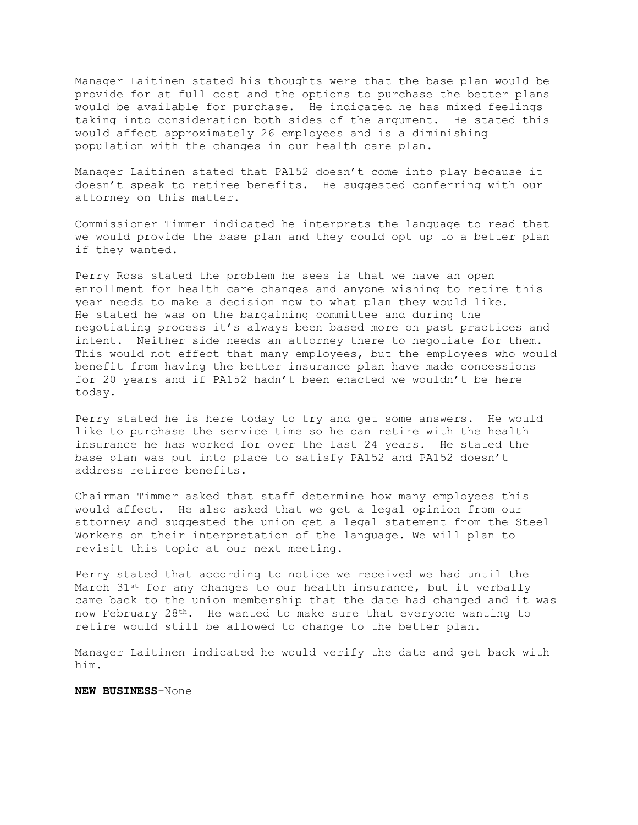Manager Laitinen stated his thoughts were that the base plan would be provide for at full cost and the options to purchase the better plans would be available for purchase. He indicated he has mixed feelings taking into consideration both sides of the argument. He stated this would affect approximately 26 employees and is a diminishing population with the changes in our health care plan.

Manager Laitinen stated that PA152 doesn't come into play because it doesn't speak to retiree benefits. He suggested conferring with our attorney on this matter.

Commissioner Timmer indicated he interprets the language to read that we would provide the base plan and they could opt up to a better plan if they wanted.

Perry Ross stated the problem he sees is that we have an open enrollment for health care changes and anyone wishing to retire this year needs to make a decision now to what plan they would like. He stated he was on the bargaining committee and during the negotiating process it's always been based more on past practices and intent. Neither side needs an attorney there to negotiate for them. This would not effect that many employees, but the employees who would benefit from having the better insurance plan have made concessions for 20 years and if PA152 hadn't been enacted we wouldn't be here today.

Perry stated he is here today to try and get some answers. He would like to purchase the service time so he can retire with the health insurance he has worked for over the last 24 years. He stated the base plan was put into place to satisfy PA152 and PA152 doesn't address retiree benefits.

Chairman Timmer asked that staff determine how many employees this would affect. He also asked that we get a legal opinion from our attorney and suggested the union get a legal statement from the Steel Workers on their interpretation of the language. We will plan to revisit this topic at our next meeting.

Perry stated that according to notice we received we had until the March 31st for any changes to our health insurance, but it verbally came back to the union membership that the date had changed and it was now February 28th. He wanted to make sure that everyone wanting to retire would still be allowed to change to the better plan.

Manager Laitinen indicated he would verify the date and get back with him.

**NEW BUSINESS**-None